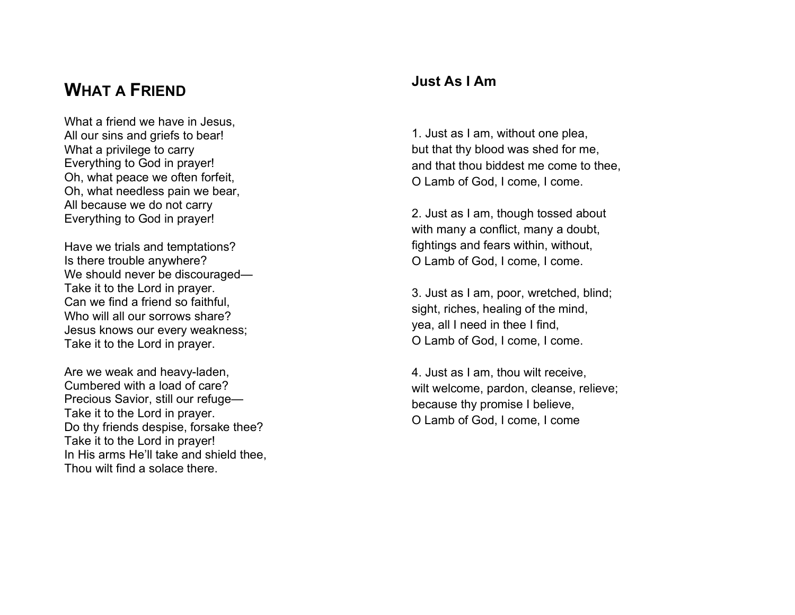## **WHAT A FRIEND**

What a friend we have in Jesus, All our sins and griefs to bear! What a privilege to carry Everything to God in prayer! Oh, what peace we often forfeit, Oh, what needless pain we bear, All because we do not carry Everything to God in prayer!

Have we trials and temptations? Is there trouble anywhere? We should never be discouraged— Take it to the Lord in prayer. Can we find a friend so faithful, Who will all our sorrows share? Jesus knows our every weakness; Take it to the Lord in prayer.

Are we weak and heavy-laden, Cumbered with a load of care? Precious Savior, still our refuge— Take it to the Lord in prayer. Do thy friends despise, forsake thee? Take it to the Lord in prayer! In His arms He'll take and shield thee, Thou wilt find a solace there.

## **Just As I Am**

1. Just as I am, without one plea, but that thy blood was shed for me, and that thou biddest me come to thee, O Lamb of God, I come, I come.

2. Just as I am, though tossed about with many a conflict, many a doubt, fightings and fears within, without, O Lamb of God, I come, I come.

3. Just as I am, poor, wretched, blind; sight, riches, healing of the mind, yea, all I need in thee I find, O Lamb of God, I come, I come.

4. Just as I am, thou wilt receive, wilt welcome, pardon, cleanse, relieve; because thy promise I believe, O Lamb of God, I come, I come